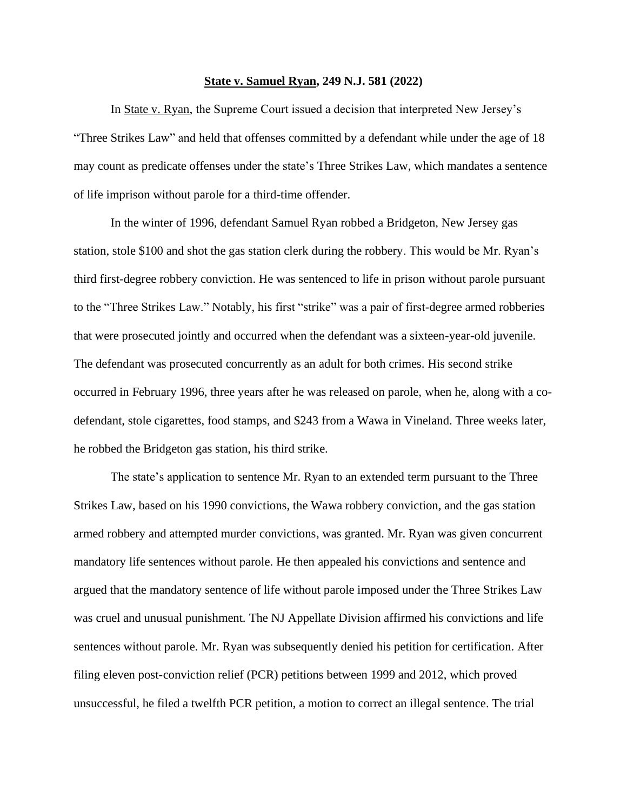## **State v. Samuel Ryan, 249 N.J. 581 (2022)**

In State v. Ryan, the Supreme Court issued a decision that interpreted New Jersey's "Three Strikes Law" and held that offenses committed by a defendant while under the age of 18 may count as predicate offenses under the state's Three Strikes Law, which mandates a sentence of life imprison without parole for a third-time offender.

In the winter of 1996, defendant Samuel Ryan robbed a Bridgeton, New Jersey gas station, stole \$100 and shot the gas station clerk during the robbery. This would be Mr. Ryan's third first-degree robbery conviction. He was sentenced to life in prison without parole pursuant to the "Three Strikes Law." Notably, his first "strike" was a pair of first-degree armed robberies that were prosecuted jointly and occurred when the defendant was a sixteen-year-old juvenile. The defendant was prosecuted concurrently as an adult for both crimes. His second strike occurred in February 1996, three years after he was released on parole, when he, along with a codefendant, stole cigarettes, food stamps, and \$243 from a Wawa in Vineland. Three weeks later, he robbed the Bridgeton gas station, his third strike.

The state's application to sentence Mr. Ryan to an extended term pursuant to the Three Strikes Law, based on his 1990 convictions, the Wawa robbery conviction, and the gas station armed robbery and attempted murder convictions, was granted. Mr. Ryan was given concurrent mandatory life sentences without parole. He then appealed his convictions and sentence and argued that the mandatory sentence of life without parole imposed under the Three Strikes Law was cruel and unusual punishment. The NJ Appellate Division affirmed his convictions and life sentences without parole. Mr. Ryan was subsequently denied his petition for certification. After filing eleven post-conviction relief (PCR) petitions between 1999 and 2012, which proved unsuccessful, he filed a twelfth PCR petition, a motion to correct an illegal sentence. The trial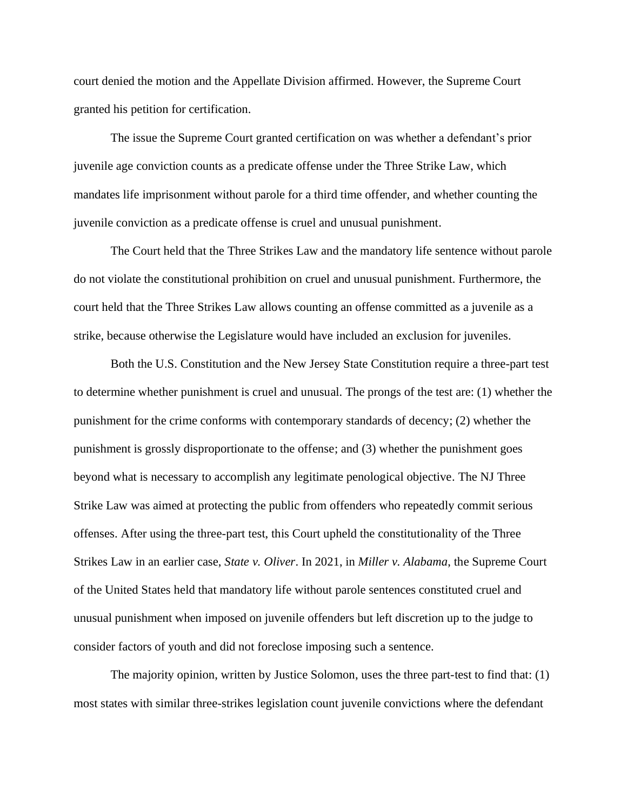court denied the motion and the Appellate Division affirmed. However, the Supreme Court granted his petition for certification.

The issue the Supreme Court granted certification on was whether a defendant's prior juvenile age conviction counts as a predicate offense under the Three Strike Law, which mandates life imprisonment without parole for a third time offender, and whether counting the juvenile conviction as a predicate offense is cruel and unusual punishment.

The Court held that the Three Strikes Law and the mandatory life sentence without parole do not violate the constitutional prohibition on cruel and unusual punishment. Furthermore, the court held that the Three Strikes Law allows counting an offense committed as a juvenile as a strike, because otherwise the Legislature would have included an exclusion for juveniles.

Both the U.S. Constitution and the New Jersey State Constitution require a three-part test to determine whether punishment is cruel and unusual. The prongs of the test are: (1) whether the punishment for the crime conforms with contemporary standards of decency; (2) whether the punishment is grossly disproportionate to the offense; and (3) whether the punishment goes beyond what is necessary to accomplish any legitimate penological objective. The NJ Three Strike Law was aimed at protecting the public from offenders who repeatedly commit serious offenses. After using the three-part test, this Court upheld the constitutionality of the Three Strikes Law in an earlier case, *State v. Oliver*. In 2021, in *Miller v. Alabama*, the Supreme Court of the United States held that mandatory life without parole sentences constituted cruel and unusual punishment when imposed on juvenile offenders but left discretion up to the judge to consider factors of youth and did not foreclose imposing such a sentence.

The majority opinion, written by Justice Solomon, uses the three part-test to find that: (1) most states with similar three-strikes legislation count juvenile convictions where the defendant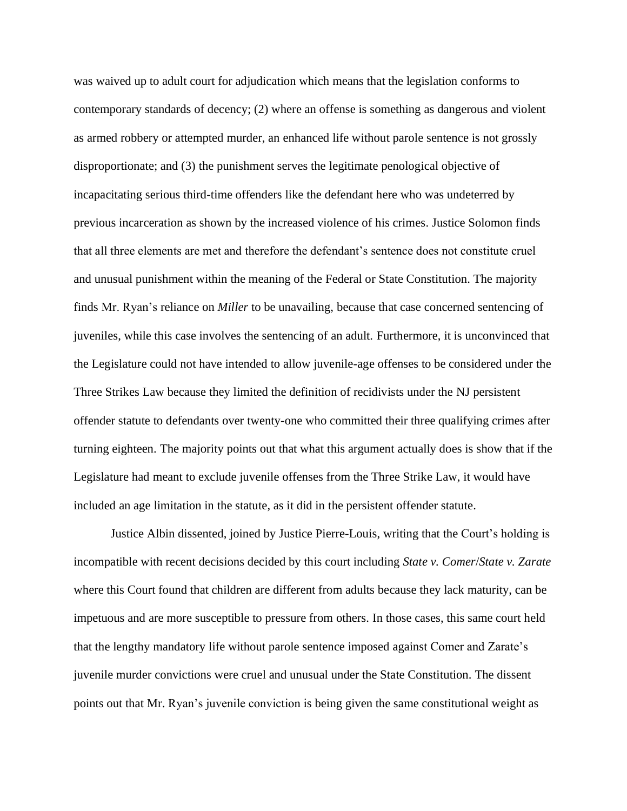was waived up to adult court for adjudication which means that the legislation conforms to contemporary standards of decency; (2) where an offense is something as dangerous and violent as armed robbery or attempted murder, an enhanced life without parole sentence is not grossly disproportionate; and (3) the punishment serves the legitimate penological objective of incapacitating serious third-time offenders like the defendant here who was undeterred by previous incarceration as shown by the increased violence of his crimes. Justice Solomon finds that all three elements are met and therefore the defendant's sentence does not constitute cruel and unusual punishment within the meaning of the Federal or State Constitution. The majority finds Mr. Ryan's reliance on *Miller* to be unavailing, because that case concerned sentencing of juveniles, while this case involves the sentencing of an adult. Furthermore, it is unconvinced that the Legislature could not have intended to allow juvenile-age offenses to be considered under the Three Strikes Law because they limited the definition of recidivists under the NJ persistent offender statute to defendants over twenty-one who committed their three qualifying crimes after turning eighteen. The majority points out that what this argument actually does is show that if the Legislature had meant to exclude juvenile offenses from the Three Strike Law, it would have included an age limitation in the statute, as it did in the persistent offender statute.

Justice Albin dissented, joined by Justice Pierre-Louis, writing that the Court's holding is incompatible with recent decisions decided by this court including *State v. Comer*/*State v. Zarate* where this Court found that children are different from adults because they lack maturity, can be impetuous and are more susceptible to pressure from others. In those cases, this same court held that the lengthy mandatory life without parole sentence imposed against Comer and Zarate's juvenile murder convictions were cruel and unusual under the State Constitution. The dissent points out that Mr. Ryan's juvenile conviction is being given the same constitutional weight as